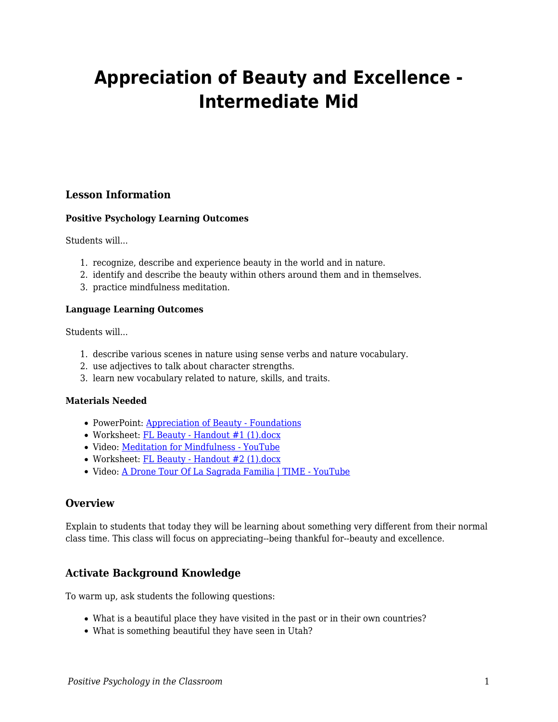# **Appreciation of Beauty and Excellence - Intermediate Mid**

# **Lesson Information**

## **Positive Psychology Learning Outcomes**

Students will...

- 1. recognize, describe and experience beauty in the world and in nature.
- 2. identify and describe the beauty within others around them and in themselves.
- 3. practice mindfulness meditation.

#### **Language Learning Outcomes**

Students will...

- 1. describe various scenes in nature using sense verbs and nature vocabulary.
- 2. use adjectives to talk about character strengths.
- 3. learn new vocabulary related to nature, skills, and traits.

## **Materials Needed**

- PowerPoint: [Appreciation of Beauty Foundations](https://docs.google.com/presentation/d/1JVTs0OGjDnOaYLaBjYSAK53Lngi9lqSHkEWPGRBOv6Q/edit#slide=id.ge02d8c2084_0_35)
- Worksheet: [FL Beauty Handout #1 \(1\).docx](https://docs.google.com/document/d/1sG17_4M0tQRB9h7-CVLW7jg-mhRJWQEw/edit?usp=sharing&ouid=113634371093861221815&rtpof=true&sd=true)
- Video: [Meditation for Mindfulness YouTube](https://www.youtube.com/watch?v=WUASVHlfXeI)
- Worksheet: [FL Beauty Handout #2 \(1\).docx](https://docs.google.com/document/d/1__AIA-VKswWk7TX0o5kYnhjARqwU13u6/edit?usp=sharing&ouid=113634371093861221815&rtpof=true&sd=true)
- Video: [A Drone Tour Of La Sagrada Familia | TIME YouTube](https://www.youtube.com/watch?v=Z2DH-B0ADjk)

# **Overview**

Explain to students that today they will be learning about something very different from their normal class time. This class will focus on appreciating--being thankful for--beauty and excellence.

# **Activate Background Knowledge**

To warm up, ask students the following questions:

- What is a beautiful place they have visited in the past or in their own countries?
- What is something beautiful they have seen in Utah?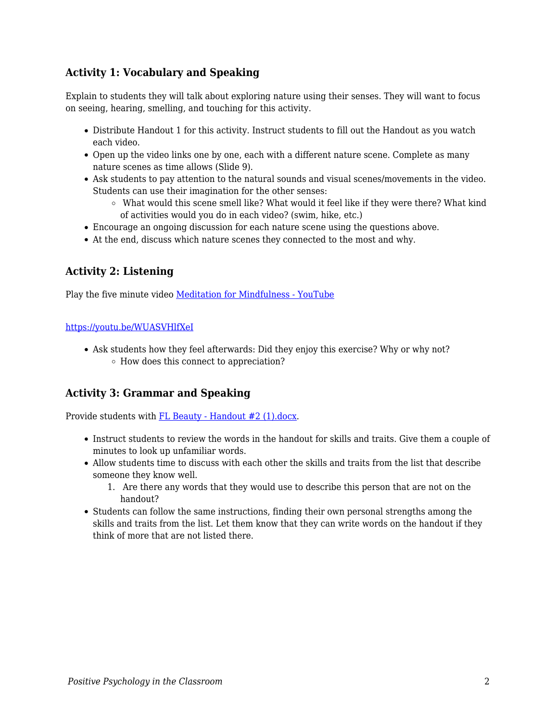# **Activity 1: Vocabulary and Speaking**

Explain to students they will talk about exploring nature using their senses. They will want to focus on seeing, hearing, smelling, and touching for this activity.

- Distribute Handout 1 for this activity. Instruct students to fill out the Handout as you watch each video.
- Open up the video links one by one, each with a different nature scene. Complete as many nature scenes as time allows (Slide 9).
- Ask students to pay attention to the natural sounds and visual scenes/movements in the video. Students can use their imagination for the other senses:
	- What would this scene smell like? What would it feel like if they were there? What kind of activities would you do in each video? (swim, hike, etc.)
- Encourage an ongoing discussion for each nature scene using the questions above.
- At the end, discuss which nature scenes they connected to the most and why.

# **Activity 2: Listening**

Play the five minute video [Meditation for Mindfulness - YouTube](https://www.youtube.com/watch?v=WUASVHlfXeI)

#### <https://youtu.be/WUASVHlfXeI>

Ask students how they feel afterwards: Did they enjoy this exercise? Why or why not? How does this connect to appreciation?

# **Activity 3: Grammar and Speaking**

Provide students with [FL Beauty - Handout #2 \(1\).docx.](https://docs.google.com/document/d/1__AIA-VKswWk7TX0o5kYnhjARqwU13u6/edit?usp=sharing&ouid=113634371093861221815&rtpof=true&sd=true)

- Instruct students to review the words in the handout for skills and traits. Give them a couple of minutes to look up unfamiliar words.
- Allow students time to discuss with each other the skills and traits from the list that describe someone they know well.
	- 1. Are there any words that they would use to describe this person that are not on the handout?
- Students can follow the same instructions, finding their own personal strengths among the skills and traits from the list. Let them know that they can write words on the handout if they think of more that are not listed there.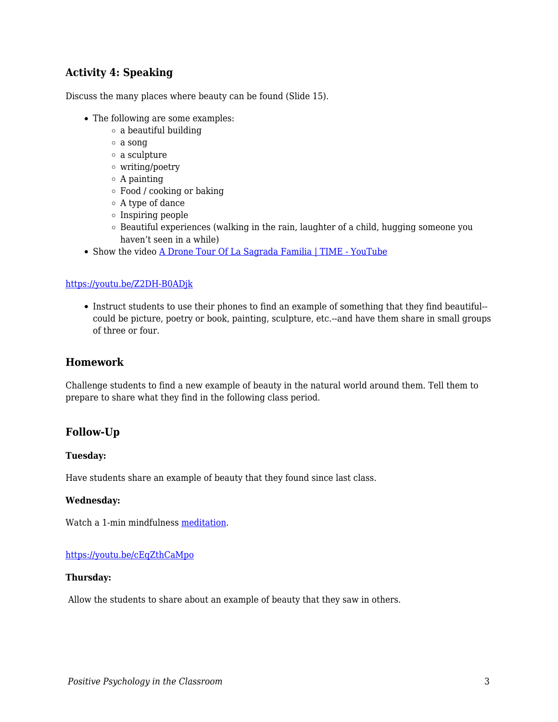# **Activity 4: Speaking**

Discuss the many places where beauty can be found (Slide 15).

- The following are some examples:
	- $\circ$  a beautiful building
	- a song
	- a sculpture
	- writing/poetry
	- $\circ$  A painting
	- Food / cooking or baking
	- A type of dance
	- $\circ$  Inspiring people
	- $\circ$  Beautiful experiences (walking in the rain, laughter of a child, hugging someone you haven't seen in a while)
- Show the video [A Drone Tour Of La Sagrada Familia | TIME YouTube](https://www.youtube.com/watch?v=Z2DH-B0ADjk)

#### <https://youtu.be/Z2DH-B0ADjk>

Instruct students to use their phones to find an example of something that they find beautiful- could be picture, poetry or book, painting, sculpture, etc.--and have them share in small groups of three or four.

### **Homework**

Challenge students to find a new example of beauty in the natural world around them. Tell them to prepare to share what they find in the following class period.

## **Follow-Up**

#### **Tuesday:**

Have students share an example of beauty that they found since last class.

#### **Wednesday:**

Watch a 1-min mindfulness [meditation](https://www.youtube.com/watch?v=cEqZthCaMpo).

#### <https://youtu.be/cEqZthCaMpo>

#### **Thursday:**

Allow the students to share about an example of beauty that they saw in others.